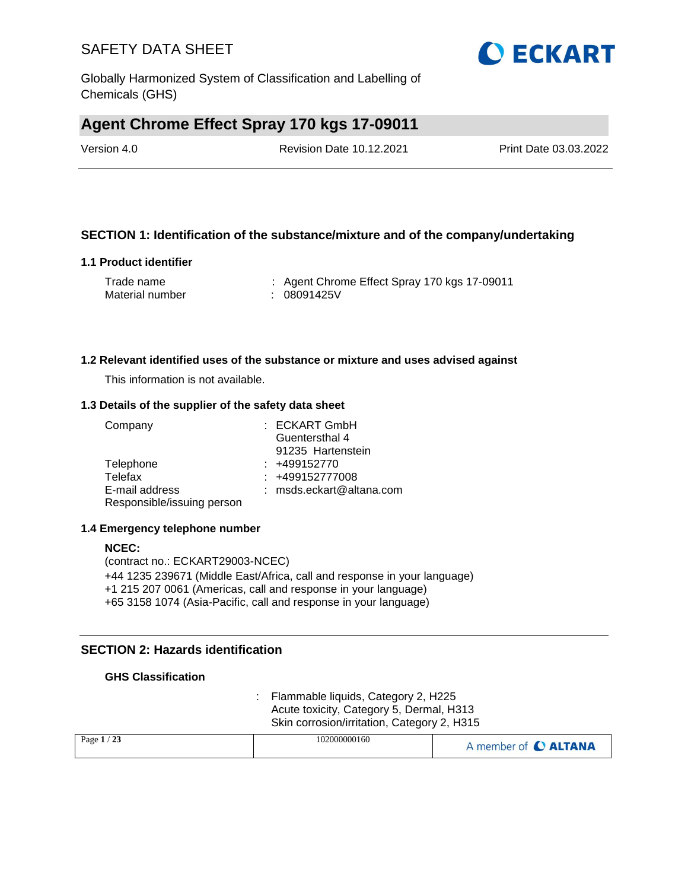Globally Harmonized System of Classification and Labelling of Chemicals (GHS)

### **Agent Chrome Effect Spray 170 kgs 17-09011**

Version 4.0 Revision Date 10.12.2021 Print Date 03.03.2022

#### **SECTION 1: Identification of the substance/mixture and of the company/undertaking**

#### **1.1 Product identifier**

| Trade name      | : Agent Chrome Effect Spray 170 kgs 17-09011 |
|-----------------|----------------------------------------------|
| Material number | : 08091425V                                  |

#### **1.2 Relevant identified uses of the substance or mixture and uses advised against**

This information is not available.

#### **1.3 Details of the supplier of the safety data sheet**

| Company                    | : ECKART GmbH            |
|----------------------------|--------------------------|
|                            | Guentersthal 4           |
|                            | 91235 Hartenstein        |
| Telephone                  | $: +499152770$           |
| Telefax                    | : +499152777008          |
| E-mail address             | : msds.eckart@altana.com |
| Responsible/issuing person |                          |

#### **1.4 Emergency telephone number**

#### **NCEC:** (contract no.: ECKART29003-NCEC) +44 1235 239671 (Middle East/Africa, call and response in your language) +1 215 207 0061 (Americas, call and response in your language) +65 3158 1074 (Asia-Pacific, call and response in your language)

#### **SECTION 2: Hazards identification**

#### **GHS Classification**

: Flammable liquids, Category 2, H225 Acute toxicity, Category 5, Dermal, H313 Skin corrosion/irritation, Category 2, H315

| $^{\prime}$ 23<br>Page $1/$ | 102000000160 | A member of C ALTANA |
|-----------------------------|--------------|----------------------|
|                             |              |                      |

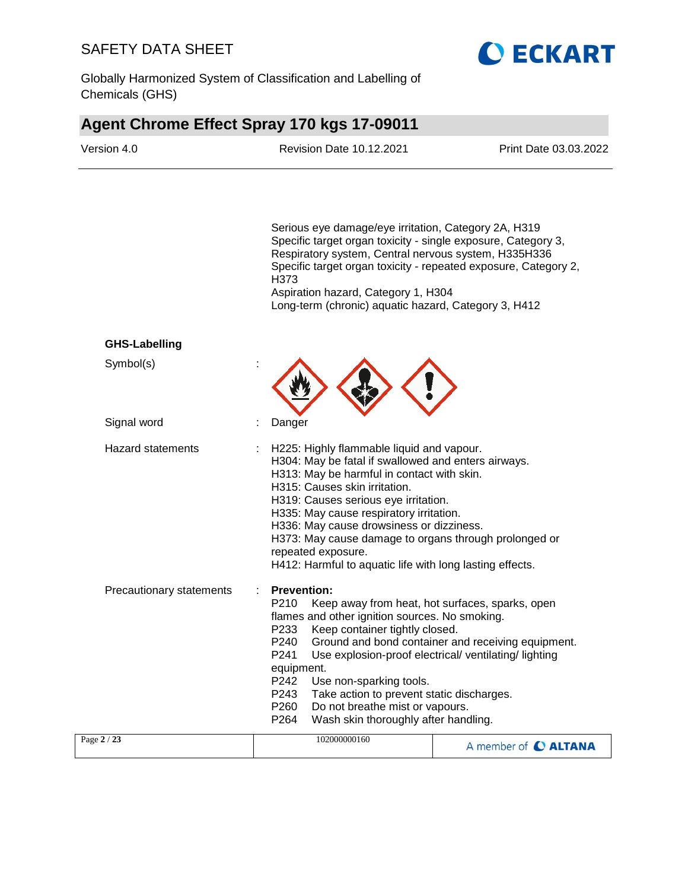Globally Harmonized System of Classification and Labelling of Chemicals (GHS)



# **Agent Chrome Effect Spray 170 kgs 17-09011**

| Version 4.0              | <b>Revision Date 10.12.2021</b>                                                                                                                                                                                                                                                                                                                                                                                                                                                                         | Print Date 03.03.2022 |
|--------------------------|---------------------------------------------------------------------------------------------------------------------------------------------------------------------------------------------------------------------------------------------------------------------------------------------------------------------------------------------------------------------------------------------------------------------------------------------------------------------------------------------------------|-----------------------|
|                          | Serious eye damage/eye irritation, Category 2A, H319<br>Specific target organ toxicity - single exposure, Category 3,<br>Respiratory system, Central nervous system, H335H336<br>Specific target organ toxicity - repeated exposure, Category 2,<br>H373<br>Aspiration hazard, Category 1, H304<br>Long-term (chronic) aquatic hazard, Category 3, H412                                                                                                                                                 |                       |
| <b>GHS-Labelling</b>     |                                                                                                                                                                                                                                                                                                                                                                                                                                                                                                         |                       |
| Symbol(s)                |                                                                                                                                                                                                                                                                                                                                                                                                                                                                                                         |                       |
| Signal word              | Danger                                                                                                                                                                                                                                                                                                                                                                                                                                                                                                  |                       |
| <b>Hazard statements</b> | H225: Highly flammable liquid and vapour.<br>H304: May be fatal if swallowed and enters airways.<br>H313: May be harmful in contact with skin.<br>H315: Causes skin irritation.<br>H319: Causes serious eye irritation.<br>H335: May cause respiratory irritation.<br>H336: May cause drowsiness or dizziness.<br>H373: May cause damage to organs through prolonged or<br>repeated exposure.<br>H412: Harmful to aquatic life with long lasting effects.                                               |                       |
| Precautionary statements | <b>Prevention:</b><br>P210<br>Keep away from heat, hot surfaces, sparks, open<br>flames and other ignition sources. No smoking.<br>Keep container tightly closed.<br>P233<br>P240<br>Ground and bond container and receiving equipment.<br>Use explosion-proof electrical/ventilating/lighting<br>P241<br>equipment.<br>P242<br>Use non-sparking tools.<br>P243<br>Take action to prevent static discharges.<br>P260<br>Do not breathe mist or vapours.<br>P264<br>Wash skin thoroughly after handling. |                       |
| Page 2 / 23              | 102000000160                                                                                                                                                                                                                                                                                                                                                                                                                                                                                            | A member of C ALTANA  |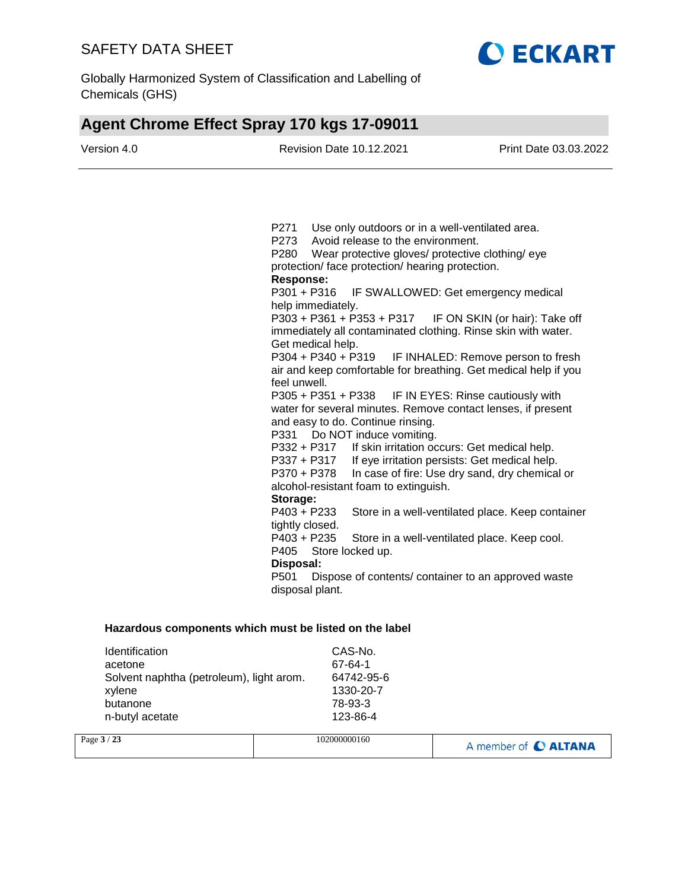

Globally Harmonized System of Classification and Labelling of Chemicals (GHS)

# **Agent Chrome Effect Spray 170 kgs 17-09011**

| Version 4.0 | <b>Revision Date 10.12.2021</b>                                 | Print Date 03.03.2022                            |
|-------------|-----------------------------------------------------------------|--------------------------------------------------|
|             |                                                                 |                                                  |
|             | P271<br>Use only outdoors or in a well-ventilated area.         |                                                  |
|             | P273<br>Avoid release to the environment.                       |                                                  |
|             | P280<br>Wear protective gloves/ protective clothing/ eye        |                                                  |
|             | protection/face protection/hearing protection.                  |                                                  |
|             | <b>Response:</b>                                                |                                                  |
|             | P301 + P316                                                     | IF SWALLOWED: Get emergency medical              |
|             | help immediately.                                               |                                                  |
|             | P303 + P361 + P353 + P317 IF ON SKIN (or hair): Take off        |                                                  |
|             | immediately all contaminated clothing. Rinse skin with water.   |                                                  |
|             | Get medical help.<br>P304 + P340 + P319                         |                                                  |
|             | air and keep comfortable for breathing. Get medical help if you | IF INHALED: Remove person to fresh               |
|             | feel unwell.                                                    |                                                  |
|             | P305 + P351 + P338                                              | IF IN EYES: Rinse cautiously with                |
|             | water for several minutes. Remove contact lenses, if present    |                                                  |
|             | and easy to do. Continue rinsing.                               |                                                  |
|             | Do NOT induce vomiting.<br>P331                                 |                                                  |
|             | If skin irritation occurs: Get medical help.<br>P332 + P317     |                                                  |
|             | P337 + P317                                                     | If eye irritation persists: Get medical help.    |
|             | P370 + P378                                                     | In case of fire: Use dry sand, dry chemical or   |
|             | alcohol-resistant foam to extinguish.                           |                                                  |
|             | Storage:                                                        |                                                  |
|             | $P403 + P233$                                                   | Store in a well-ventilated place. Keep container |
|             | tightly closed.                                                 |                                                  |
|             | P403 + P235                                                     | Store in a well-ventilated place. Keep cool.     |
|             | P405<br>Store locked up.                                        |                                                  |
|             | Disposal:                                                       |                                                  |
|             | P501<br>Dispose of contents/ container to an approved waste     |                                                  |
|             | disposal plant.                                                 |                                                  |

| Identification                           | CAS-No.    |
|------------------------------------------|------------|
| acetone                                  | 67-64-1    |
| Solvent naphtha (petroleum), light arom. | 64742-95-6 |
| xylene                                   | 1330-20-7  |
| butanone                                 | 78-93-3    |
| n-butyl acetate                          | 123-86-4   |

| Page $3/23$ | 102000000160 | A member of C ALTANA |
|-------------|--------------|----------------------|
|             |              |                      |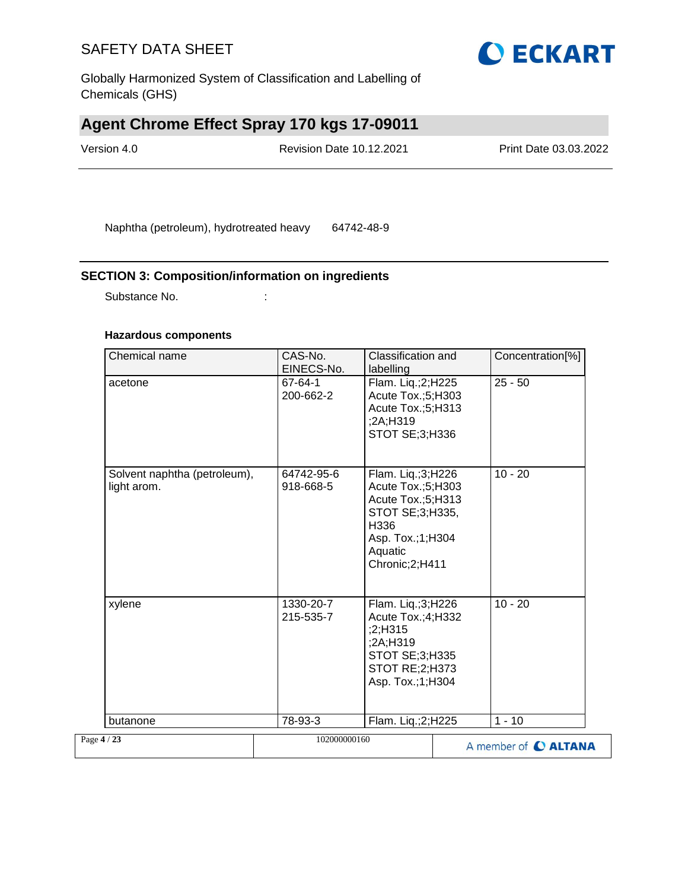Globally Harmonized System of Classification and Labelling of Chemicals (GHS)

# **Agent Chrome Effect Spray 170 kgs 17-09011**

| Version 4.0 | <b>Revision Date 10.12.2021</b> | <b>Print Date 03.03.2022</b> |
|-------------|---------------------------------|------------------------------|
|             |                                 |                              |

Naphtha (petroleum), hydrotreated heavy 64742-48-9

#### **SECTION 3: Composition/information on ingredients**

Substance No.  $\qquad \qquad :$ 

#### **Hazardous components**

| Chemical name                               | CAS-No.<br>EINECS-No.   | Classification and<br>labelling                                                                                                         | Concentration[%]     |
|---------------------------------------------|-------------------------|-----------------------------------------------------------------------------------------------------------------------------------------|----------------------|
| acetone                                     | 67-64-1<br>200-662-2    | Flam. Liq.;2;H225<br>Acute Tox.;5;H303<br>Acute Tox.;5;H313<br>;2A;H319<br><b>STOT SE: 3: H336</b>                                      | $25 - 50$            |
| Solvent naphtha (petroleum),<br>light arom. | 64742-95-6<br>918-668-5 | Flam. Liq.;3;H226<br>Acute Tox.;5;H303<br>Acute Tox.;5;H313<br>STOT SE;3;H335,<br>H336<br>Asp. Tox.;1;H304<br>Aquatic<br>Chronic;2;H411 | $10 - 20$            |
| xylene                                      | 1330-20-7<br>215-535-7  | Flam. Liq.;3;H226<br>Acute Tox.;4;H332<br>;2;H315<br>;2A;H319<br>STOT SE;3;H335<br>STOT RE;2;H373<br>Asp. Tox.;1;H304                   | $10 - 20$            |
| butanone                                    | 78-93-3                 | Flam. Liq.;2;H225                                                                                                                       | $1 - 10$             |
| Page 4 / 23                                 | 102000000160            |                                                                                                                                         | A member of C ALTANA |

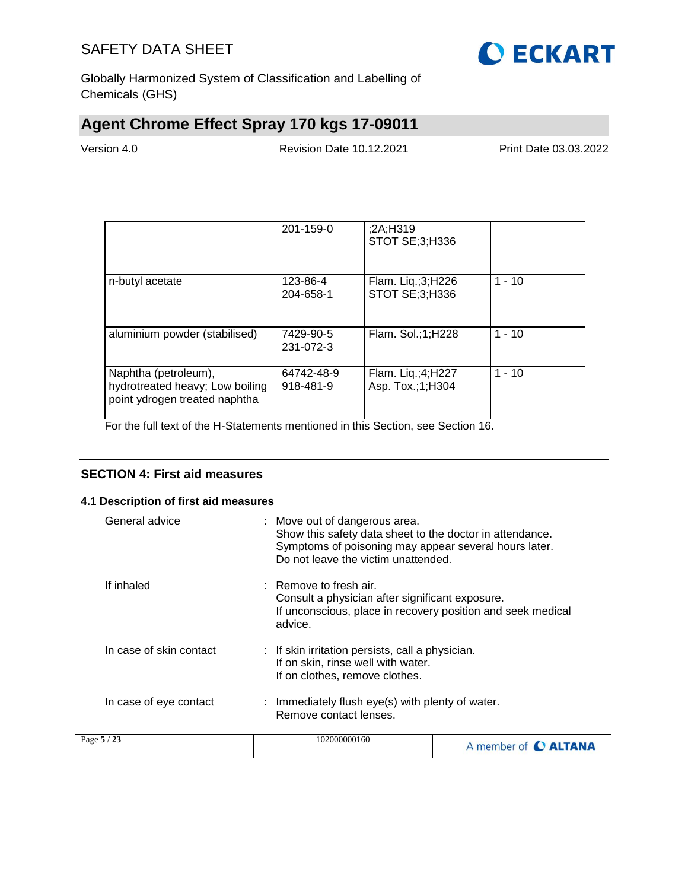

Globally Harmonized System of Classification and Labelling of Chemicals (GHS)

# **Agent Chrome Effect Spray 170 kgs 17-09011**

Version 4.0 Revision Date 10.12.2021 Print Date 03.03.2022

|                                                                                          | 201-159-0               | 2A;H319;<br>STOT SE;3;H336                |          |
|------------------------------------------------------------------------------------------|-------------------------|-------------------------------------------|----------|
| n-butyl acetate                                                                          | 123-86-4<br>204-658-1   | Flam. Liq.;3;H226<br>STOT SE;3;H336       | $1 - 10$ |
| aluminium powder (stabilised)                                                            | 7429-90-5<br>231-072-3  | Flam. Sol.;1;H228                         | $1 - 10$ |
| Naphtha (petroleum),<br>hydrotreated heavy; Low boiling<br>point ydrogen treated naphtha | 64742-48-9<br>918-481-9 | Flam. Liq.; $4;$ H227<br>Asp. Tox.;1;H304 | $1 - 10$ |

For the full text of the H-Statements mentioned in this Section, see Section 16.

#### **SECTION 4: First aid measures**

#### **4.1 Description of first aid measures**

| General advice          | : Move out of dangerous area.<br>Show this safety data sheet to the doctor in attendance.<br>Symptoms of poisoning may appear several hours later.<br>Do not leave the victim unattended. |                                                             |
|-------------------------|-------------------------------------------------------------------------------------------------------------------------------------------------------------------------------------------|-------------------------------------------------------------|
| If inhaled              | $\therefore$ Remove to fresh air.<br>Consult a physician after significant exposure.<br>advice.                                                                                           | If unconscious, place in recovery position and seek medical |
| In case of skin contact | : If skin irritation persists, call a physician.<br>If on skin, rinse well with water.<br>If on clothes, remove clothes.                                                                  |                                                             |
| In case of eye contact  | : Immediately flush eye(s) with plenty of water.<br>Remove contact lenses.                                                                                                                |                                                             |
| Page 5 / 23             | 102000000160                                                                                                                                                                              | A member of <b>C ALTANA</b>                                 |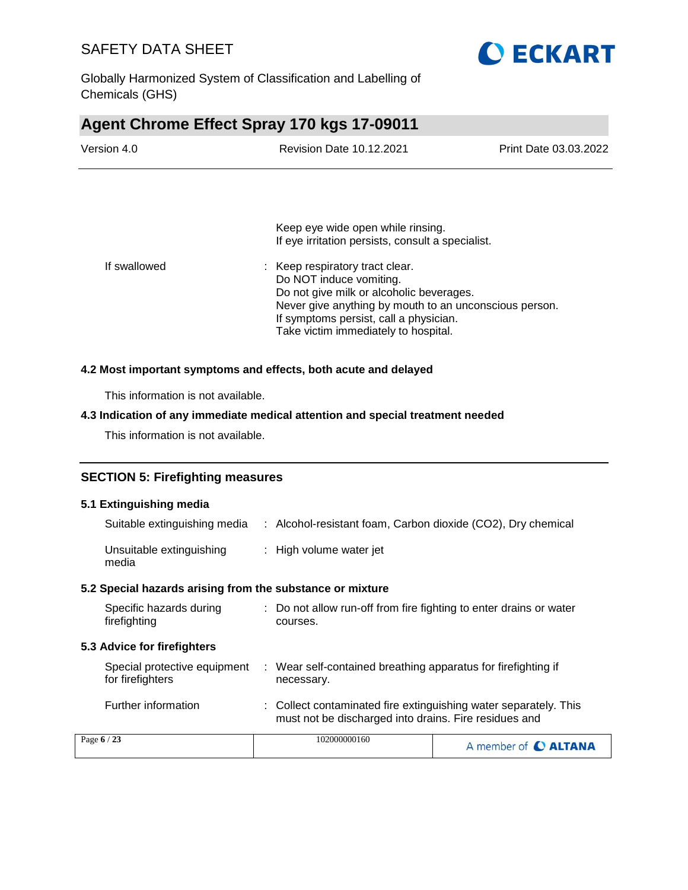

Globally Harmonized System of Classification and Labelling of Chemicals (GHS)

### **Agent Chrome Effect Spray 170 kgs 17-09011**

| Version 4.0 | <b>Revision Date 10.12.2021</b>                                                        | Print Date 03.03.2022 |
|-------------|----------------------------------------------------------------------------------------|-----------------------|
|             |                                                                                        |                       |
|             |                                                                                        |                       |
|             | Keep eye wide open while rinsing.<br>If eye irritation persists, consult a specialist. |                       |

| If swallowed | : Keep respiratory tract clear.                        |
|--------------|--------------------------------------------------------|
|              | Do NOT induce vomiting.                                |
|              | Do not give milk or alcoholic beverages.               |
|              | Never give anything by mouth to an unconscious person. |
|              | If symptoms persist, call a physician.                 |
|              | Take victim immediately to hospital.                   |

#### **4.2 Most important symptoms and effects, both acute and delayed**

This information is not available.

#### **4.3 Indication of any immediate medical attention and special treatment needed**

This information is not available.

#### **SECTION 5: Firefighting measures**

#### **5.1 Extinguishing media**

| Suitable extinguishing media                              |    | : Alcohol-resistant foam, Carbon dioxide (CO2), Dry chemical                   |
|-----------------------------------------------------------|----|--------------------------------------------------------------------------------|
| Unsuitable extinguishing<br>media                         |    | : High volume water jet                                                        |
| 5.2 Special hazards arising from the substance or mixture |    |                                                                                |
| Specific hazards during<br>firefighting                   |    | : Do not allow run-off from fire fighting to enter drains or water<br>courses. |
| <b>5.3 Advice for firefighters</b>                        |    |                                                                                |
| Special protective equipment<br>for firefighters          | ÷. | Wear self-contained breathing apparatus for firefighting if<br>necessary.      |
| Further information                                       |    | : Collect contaminated fire extinguishing water separately. This               |

|             | must not be discharged into drains. Fire residues and |                      |
|-------------|-------------------------------------------------------|----------------------|
| Page $6/23$ | 102000000160                                          | A member of C ALTANA |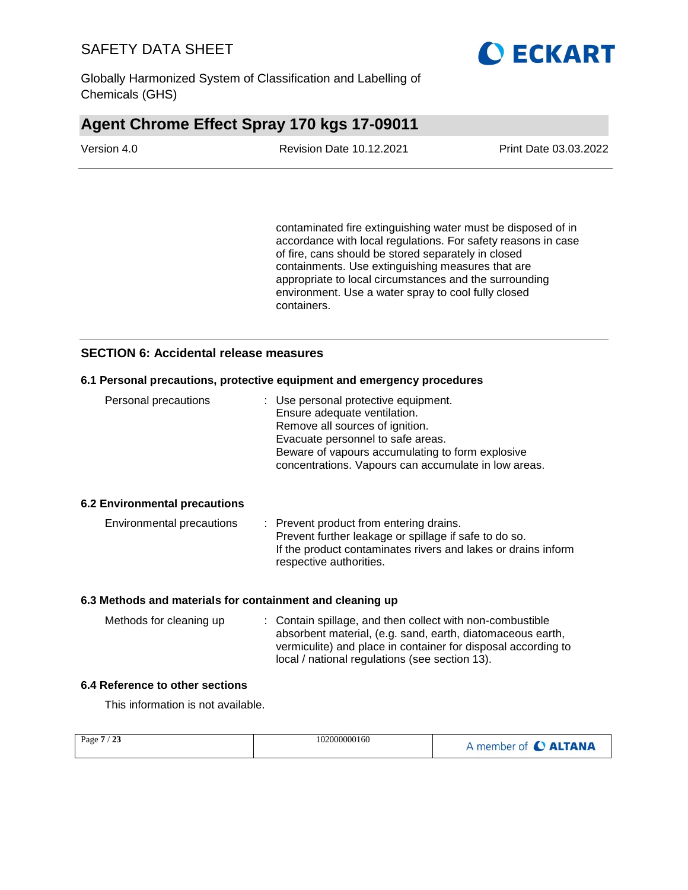

Globally Harmonized System of Classification and Labelling of Chemicals (GHS)

### **Agent Chrome Effect Spray 170 kgs 17-09011**

| Version 4.0 | <b>Revision Date 10.12.2021</b> | <b>Print Date 03.03.2022</b> |
|-------------|---------------------------------|------------------------------|
|             |                                 |                              |

contaminated fire extinguishing water must be disposed of in accordance with local regulations. For safety reasons in case of fire, cans should be stored separately in closed containments. Use extinguishing measures that are appropriate to local circumstances and the surrounding environment. Use a water spray to cool fully closed containers.

#### **SECTION 6: Accidental release measures**

#### **6.1 Personal precautions, protective equipment and emergency procedures**

| Personal precautions | : Use personal protective equipment.<br>Ensure adequate ventilation.<br>Remove all sources of ignition.<br>Evacuate personnel to safe areas.<br>Beware of vapours accumulating to form explosive |
|----------------------|--------------------------------------------------------------------------------------------------------------------------------------------------------------------------------------------------|
|                      | concentrations. Vapours can accumulate in low areas.                                                                                                                                             |

#### **6.2 Environmental precautions**

| Environmental precautions | : Prevent product from entering drains.                       |
|---------------------------|---------------------------------------------------------------|
|                           | Prevent further leakage or spillage if safe to do so.         |
|                           | If the product contaminates rivers and lakes or drains inform |
|                           | respective authorities.                                       |

#### **6.3 Methods and materials for containment and cleaning up**

| Methods for cleaning up | : Contain spillage, and then collect with non-combustible     |
|-------------------------|---------------------------------------------------------------|
|                         | absorbent material, (e.g. sand, earth, diatomaceous earth,    |
|                         | vermiculite) and place in container for disposal according to |
|                         | local / national regulations (see section 13).                |

#### **6.4 Reference to other sections**

This information is not available.

| Page 7<br>/23 | 102000000160 | A member of C ALTANA |
|---------------|--------------|----------------------|
|               |              |                      |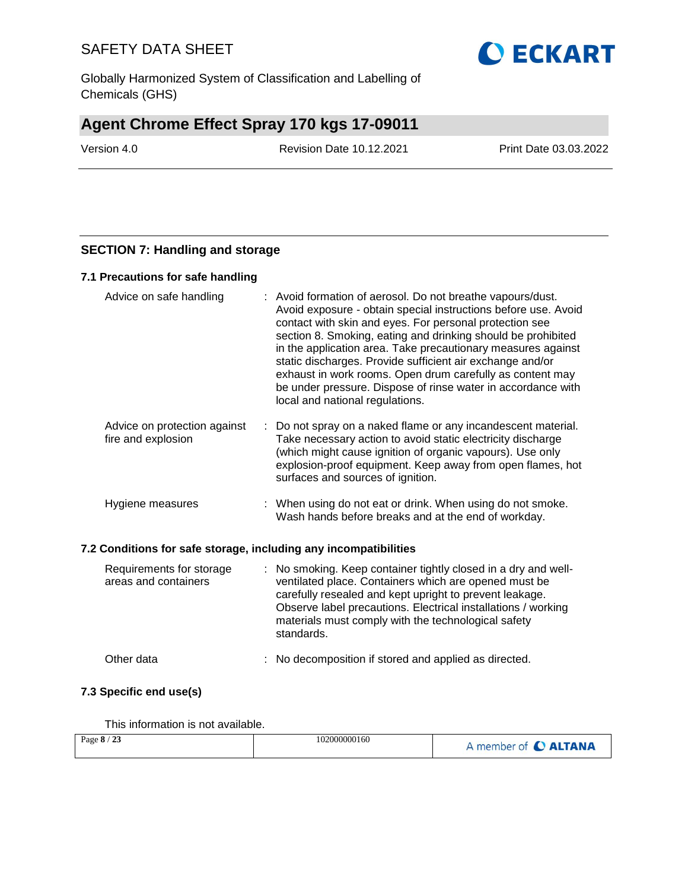Globally Harmonized System of Classification and Labelling of Chemicals (GHS)

### **Agent Chrome Effect Spray 170 kgs 17-09011**

Version 4.0 Revision Date 10.12.2021 Print Date 03.03.2022

#### **SECTION 7: Handling and storage**

#### **7.1 Precautions for safe handling**

| Advice on safe handling                                          |    | : Avoid formation of aerosol. Do not breathe vapours/dust.<br>Avoid exposure - obtain special instructions before use. Avoid<br>contact with skin and eyes. For personal protection see<br>section 8. Smoking, eating and drinking should be prohibited<br>in the application area. Take precautionary measures against<br>static discharges. Provide sufficient air exchange and/or<br>exhaust in work rooms. Open drum carefully as content may<br>be under pressure. Dispose of rinse water in accordance with<br>local and national regulations. |
|------------------------------------------------------------------|----|------------------------------------------------------------------------------------------------------------------------------------------------------------------------------------------------------------------------------------------------------------------------------------------------------------------------------------------------------------------------------------------------------------------------------------------------------------------------------------------------------------------------------------------------------|
| Advice on protection against<br>fire and explosion               | ÷. | Do not spray on a naked flame or any incandescent material.<br>Take necessary action to avoid static electricity discharge<br>(which might cause ignition of organic vapours). Use only<br>explosion-proof equipment. Keep away from open flames, hot<br>surfaces and sources of ignition.                                                                                                                                                                                                                                                           |
| Hygiene measures                                                 |    | : When using do not eat or drink. When using do not smoke.<br>Wash hands before breaks and at the end of workday.                                                                                                                                                                                                                                                                                                                                                                                                                                    |
| 7.2 Conditions for safe storage, including any incompatibilities |    |                                                                                                                                                                                                                                                                                                                                                                                                                                                                                                                                                      |
| Requirements for storage<br>areas and containers                 | ÷. | No smoking. Keep container tightly closed in a dry and well-<br>ventilated place. Containers which are opened must be<br>carefully resealed and kept upright to prevent leakage.<br>Observe label precautions. Electrical installations / working<br>materials must comply with the technological safety<br>standards.                                                                                                                                                                                                                               |

# **7.3 Specific end use(s)**

This information is not available.

| Page 8 / 23 | 102000000160 | A member of C ALTANA |
|-------------|--------------|----------------------|
|             |              |                      |

Other data : No decomposition if stored and applied as directed.

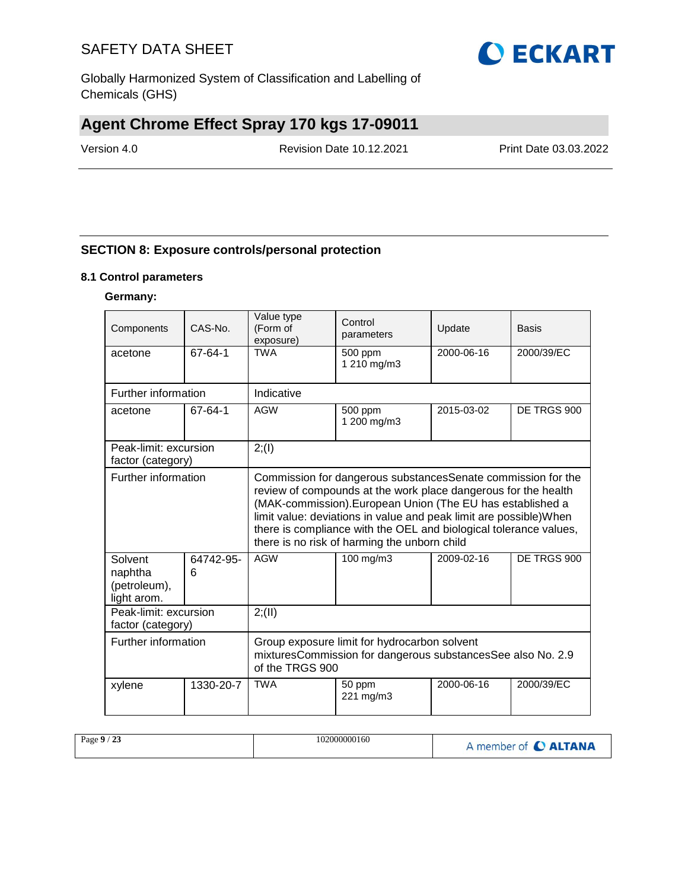

Globally Harmonized System of Classification and Labelling of Chemicals (GHS)

# **Agent Chrome Effect Spray 170 kgs 17-09011**

Version 4.0 Revision Date 10.12.2021 Print Date 03.03.2022

#### **SECTION 8: Exposure controls/personal protection**

#### **8.1 Control parameters**

#### **Germany:**

| Components                                        | CAS-No.        | Value type<br>(Form of<br>exposure)                                                                                                                                                                                                                                                                                                                                                      | Control<br>parameters  | Update      | Basis      |
|---------------------------------------------------|----------------|------------------------------------------------------------------------------------------------------------------------------------------------------------------------------------------------------------------------------------------------------------------------------------------------------------------------------------------------------------------------------------------|------------------------|-------------|------------|
| acetone                                           | 67-64-1        | <b>TWA</b>                                                                                                                                                                                                                                                                                                                                                                               | 500 ppm<br>1 210 mg/m3 | 2000-06-16  | 2000/39/EC |
| Further information                               |                | Indicative                                                                                                                                                                                                                                                                                                                                                                               |                        |             |            |
| acetone                                           | 67-64-1        | <b>AGW</b><br>2015-03-02<br>500 ppm<br>1 200 mg/m3                                                                                                                                                                                                                                                                                                                                       |                        | DE TRGS 900 |            |
| Peak-limit: excursion<br>factor (category)        |                | 2; (1)                                                                                                                                                                                                                                                                                                                                                                                   |                        |             |            |
| Further information                               |                | Commission for dangerous substances Senate commission for the<br>review of compounds at the work place dangerous for the health<br>(MAK-commission). European Union (The EU has established a<br>limit value: deviations in value and peak limit are possible) When<br>there is compliance with the OEL and biological tolerance values,<br>there is no risk of harming the unborn child |                        |             |            |
| Solvent<br>naphtha<br>(petroleum),<br>light arom. | 64742-95-<br>6 | <b>AGW</b><br>100 mg/m3<br>2009-02-16                                                                                                                                                                                                                                                                                                                                                    |                        | DE TRGS 900 |            |
| Peak-limit: excursion<br>factor (category)        |                | 2; (II)                                                                                                                                                                                                                                                                                                                                                                                  |                        |             |            |
| Further information                               |                | Group exposure limit for hydrocarbon solvent<br>mixturesCommission for dangerous substancesSee also No. 2.9<br>of the TRGS 900                                                                                                                                                                                                                                                           |                        |             |            |
| xylene                                            | 1330-20-7      | <b>TWA</b>                                                                                                                                                                                                                                                                                                                                                                               | 50 ppm<br>221 mg/m3    | 2000-06-16  | 2000/39/EC |

| /23<br>Page $9/$ | 102000000160 | A member of C ALTANA |
|------------------|--------------|----------------------|
|------------------|--------------|----------------------|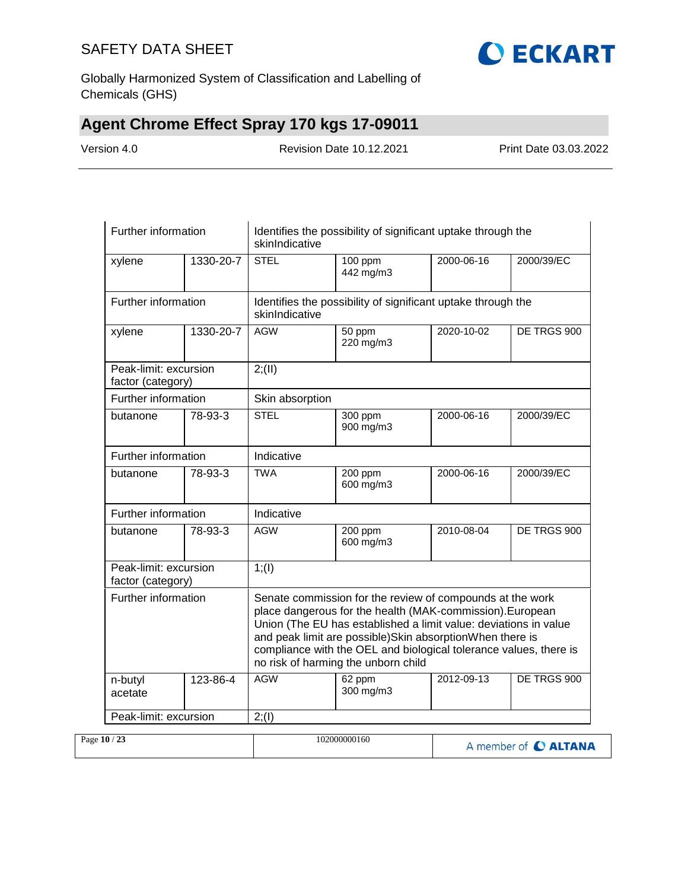

Globally Harmonized System of Classification and Labelling of Chemicals (GHS)

# **Agent Chrome Effect Spray 170 kgs 17-09011**

Version 4.0 Revision Date 10.12.2021 Print Date 03.03.2022

| Further information                        |           | Identifies the possibility of significant uptake through the<br>skinIndicative |                                                                                                                                                                                                                                                                                                                                                                    |            |             |  |
|--------------------------------------------|-----------|--------------------------------------------------------------------------------|--------------------------------------------------------------------------------------------------------------------------------------------------------------------------------------------------------------------------------------------------------------------------------------------------------------------------------------------------------------------|------------|-------------|--|
| xylene                                     | 1330-20-7 | <b>STEL</b>                                                                    | 100 ppm<br>2000-06-16<br>442 mg/m3                                                                                                                                                                                                                                                                                                                                 |            | 2000/39/EC  |  |
| Further information                        |           | skinIndicative                                                                 | Identifies the possibility of significant uptake through the                                                                                                                                                                                                                                                                                                       |            |             |  |
| xylene                                     | 1330-20-7 | <b>AGW</b>                                                                     | $\overline{50}$ ppm<br>2020-10-02<br>220 mg/m3                                                                                                                                                                                                                                                                                                                     |            | DE TRGS 900 |  |
| Peak-limit: excursion<br>factor (category) |           | 2; (II)                                                                        |                                                                                                                                                                                                                                                                                                                                                                    |            |             |  |
| Further information                        |           | Skin absorption                                                                |                                                                                                                                                                                                                                                                                                                                                                    |            |             |  |
| butanone                                   | 78-93-3   | <b>STEL</b>                                                                    | 2000-06-16<br>300 ppm<br>900 mg/m3                                                                                                                                                                                                                                                                                                                                 |            | 2000/39/EC  |  |
| Further information                        |           | Indicative                                                                     |                                                                                                                                                                                                                                                                                                                                                                    |            |             |  |
| butanone                                   | 78-93-3   | <b>TWA</b>                                                                     | 200 ppm<br>2000-06-16<br>600 mg/m3                                                                                                                                                                                                                                                                                                                                 |            | 2000/39/EC  |  |
| Further information                        |           | Indicative                                                                     |                                                                                                                                                                                                                                                                                                                                                                    |            |             |  |
| butanone                                   | 78-93-3   | <b>AGW</b>                                                                     | 200 ppm<br>600 mg/m3                                                                                                                                                                                                                                                                                                                                               | 2010-08-04 | DE TRGS 900 |  |
| Peak-limit: excursion<br>factor (category) |           | 1; (1)                                                                         |                                                                                                                                                                                                                                                                                                                                                                    |            |             |  |
| Further information                        |           |                                                                                | Senate commission for the review of compounds at the work<br>place dangerous for the health (MAK-commission). European<br>Union (The EU has established a limit value: deviations in value<br>and peak limit are possible)Skin absorptionWhen there is<br>compliance with the OEL and biological tolerance values, there is<br>no risk of harming the unborn child |            |             |  |
| n-butyl<br>acetate                         | 123-86-4  | <b>AGW</b>                                                                     | 62 ppm<br>300 mg/m3                                                                                                                                                                                                                                                                                                                                                | 2012-09-13 | DE TRGS 900 |  |
| Peak-limit: excursion                      |           | 2; (1)                                                                         |                                                                                                                                                                                                                                                                                                                                                                    |            |             |  |

| Page $10/23$ | 102000000160 | A member of C ALTANA |
|--------------|--------------|----------------------|
|--------------|--------------|----------------------|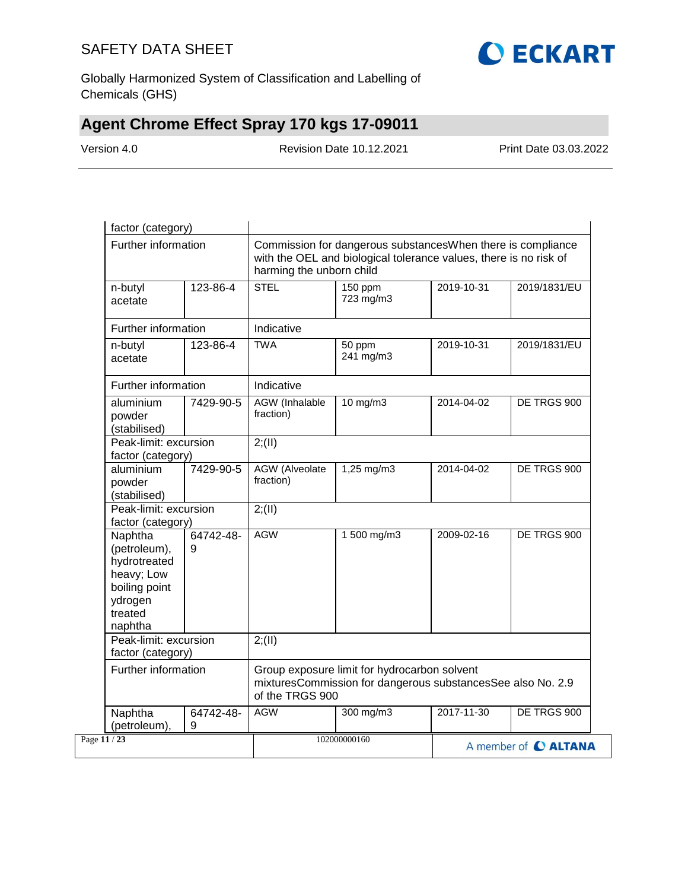

Globally Harmonized System of Classification and Labelling of Chemicals (GHS)

# **Agent Chrome Effect Spray 170 kgs 17-09011**

Version 4.0 Revision Date 10.12.2021 Print Date 03.03.2022

| Further information                                                                                          |           | Commission for dangerous substancesWhen there is compliance<br>with the OEL and biological tolerance values, there is no risk of<br>harming the unborn child |                                    |            |              |
|--------------------------------------------------------------------------------------------------------------|-----------|--------------------------------------------------------------------------------------------------------------------------------------------------------------|------------------------------------|------------|--------------|
| n-butyl<br>acetate                                                                                           | 123-86-4  | <b>STEL</b>                                                                                                                                                  | 150 ppm<br>2019-10-31<br>723 mg/m3 |            | 2019/1831/EU |
| Further information                                                                                          |           | Indicative                                                                                                                                                   |                                    |            |              |
| n-butyl<br>acetate                                                                                           | 123-86-4  | <b>TWA</b>                                                                                                                                                   | 2019-10-31<br>50 ppm<br>241 mg/m3  |            | 2019/1831/EU |
| Further information                                                                                          |           | Indicative                                                                                                                                                   |                                    |            |              |
| aluminium<br>powder<br>(stabilised)                                                                          | 7429-90-5 | <b>AGW</b> (Inhalable<br>fraction)                                                                                                                           | $10$ mg/m $3$                      | 2014-04-02 | DE TRGS 900  |
| Peak-limit: excursion<br>factor (category)                                                                   |           | 2; (II)                                                                                                                                                      |                                    |            |              |
| aluminium<br>powder<br>(stabilised)                                                                          | 7429-90-5 | AGW (Alveolate<br>fraction)                                                                                                                                  | 1,25 mg/m3                         | 2014-04-02 | DE TRGS 900  |
| Peak-limit: excursion<br>factor (category)                                                                   |           | 2; (II)                                                                                                                                                      |                                    |            |              |
| Naphtha<br>(petroleum),<br>9<br>hydrotreated<br>heavy; Low<br>boiling point<br>ydrogen<br>treated<br>naphtha | 64742-48- | <b>AGW</b>                                                                                                                                                   | 1 500 mg/m3                        | 2009-02-16 | DE TRGS 900  |
| Peak-limit: excursion<br>factor (category)                                                                   |           | 2; (II)                                                                                                                                                      |                                    |            |              |
| Further information                                                                                          |           | Group exposure limit for hydrocarbon solvent<br>mixturesCommission for dangerous substancesSee also No. 2.9<br>of the TRGS 900                               |                                    |            |              |
| Naphtha<br>(petroleum),<br>9                                                                                 | 64742-48- | <b>AGW</b>                                                                                                                                                   | 300 mg/m3                          | 2017-11-30 | DE TRGS 900  |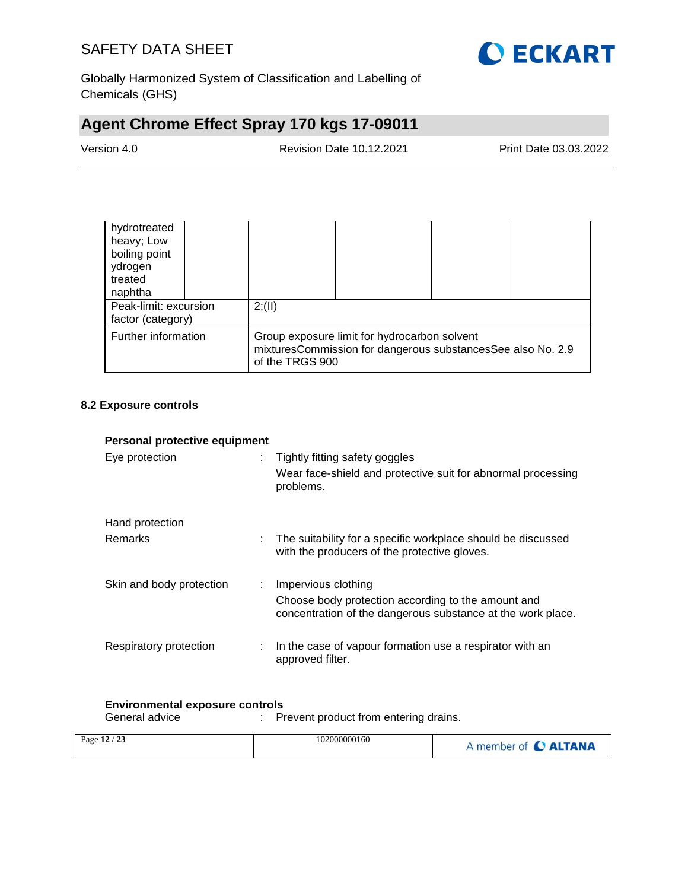

Globally Harmonized System of Classification and Labelling of Chemicals (GHS)

# **Agent Chrome Effect Spray 170 kgs 17-09011**

Version 4.0 Revision Date 10.12.2021 Print Date 03.03.2022

| hydrotreated<br>heavy; Low<br>boiling point<br>ydrogen<br>treated<br>naphtha                                                                          |  |         |  |  |
|-------------------------------------------------------------------------------------------------------------------------------------------------------|--|---------|--|--|
| Peak-limit: excursion<br>factor (category)                                                                                                            |  | 2; (II) |  |  |
| Further information<br>Group exposure limit for hydrocarbon solvent<br>mixturesCommission for dangerous substancesSee also No. 2.9<br>of the TRGS 900 |  |         |  |  |

#### **8.2 Exposure controls**

|                              | Personal protective equipment                                                                                     |  |  |  |  |
|------------------------------|-------------------------------------------------------------------------------------------------------------------|--|--|--|--|
| Eye protection               | Tightly fitting safety goggles<br>Wear face-shield and protective suit for abnormal processing<br>problems.       |  |  |  |  |
| Hand protection              |                                                                                                                   |  |  |  |  |
| <b>Remarks</b><br>÷.         | The suitability for a specific workplace should be discussed<br>with the producers of the protective gloves.      |  |  |  |  |
| Skin and body protection     | : Impervious clothing                                                                                             |  |  |  |  |
|                              | Choose body protection according to the amount and<br>concentration of the dangerous substance at the work place. |  |  |  |  |
| Respiratory protection<br>÷. | In the case of vapour formation use a respirator with an<br>approved filter.                                      |  |  |  |  |

# **Environmental exposure controls**

: Prevent product from entering drains.

| $\sim$<br>Page 12<br>-23 | 102000000160 | member of C ALTANA |
|--------------------------|--------------|--------------------|
|--------------------------|--------------|--------------------|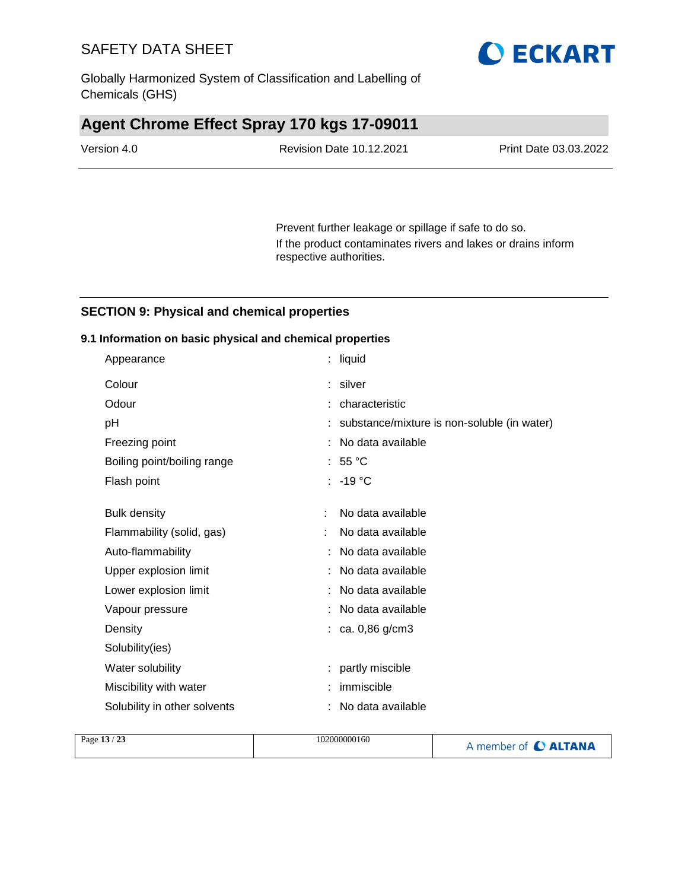Globally Harmonized System of Classification and Labelling of Chemicals (GHS)

## **Agent Chrome Effect Spray 170 kgs 17-09011**

| Version 4.0 | <b>Revision Date 10.12.2021</b> | Print Date 03.03.2022 |
|-------------|---------------------------------|-----------------------|
|             |                                 |                       |

Prevent further leakage or spillage if safe to do so. If the product contaminates rivers and lakes or drains inform respective authorities.

#### **SECTION 9: Physical and chemical properties**

#### **9.1 Information on basic physical and chemical properties**

| Appearance                   | liquid                                      |  |
|------------------------------|---------------------------------------------|--|
| Colour                       | silver<br>÷.                                |  |
| Odour                        | characteristic                              |  |
| pH                           | substance/mixture is non-soluble (in water) |  |
| Freezing point               | No data available                           |  |
| Boiling point/boiling range  | 55 °C                                       |  |
| Flash point                  | $-19 °C$<br>÷.                              |  |
|                              |                                             |  |
| <b>Bulk density</b>          | No data available                           |  |
| Flammability (solid, gas)    | No data available                           |  |
| Auto-flammability            | No data available                           |  |
| Upper explosion limit        | No data available                           |  |
| Lower explosion limit        | No data available                           |  |
| Vapour pressure              | No data available                           |  |
| Density                      | ca. 0,86 g/cm3                              |  |
| Solubility(ies)              |                                             |  |
| Water solubility             | partly miscible<br>÷.                       |  |
| Miscibility with water       | immiscible                                  |  |
| Solubility in other solvents | No data available                           |  |
|                              |                                             |  |

| Page $13/23$ | 102000000160 | A member of C ALTANA |
|--------------|--------------|----------------------|
|              |              |                      |

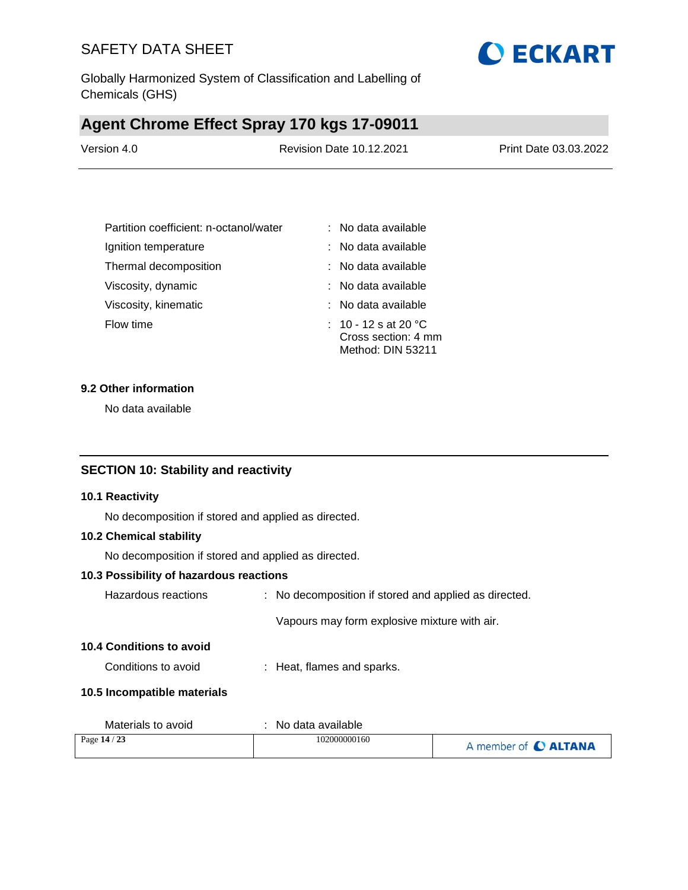

### **Agent Chrome Effect Spray 170 kgs 17-09011**

| Version 4.0 | <b>Revision Date 10.12.2021</b> | Print Date 03.03.2022 |
|-------------|---------------------------------|-----------------------|
|             |                                 |                       |

| Partition coefficient: n-octanol/water | : No data available                                              |
|----------------------------------------|------------------------------------------------------------------|
| Ignition temperature                   | : No data available                                              |
| Thermal decomposition                  | : No data available                                              |
| Viscosity, dynamic                     | : No data available                                              |
| Viscosity, kinematic                   | : No data available                                              |
| Flow time                              | : 10 - 12 s at 20 °C<br>Cross section: 4 mm<br>Method: DIN 53211 |

#### **9.2 Other information**

No data available

#### **SECTION 10: Stability and reactivity**

#### **10.1 Reactivity**

No decomposition if stored and applied as directed.

#### **10.2 Chemical stability**

No decomposition if stored and applied as directed.

#### **10.3 Possibility of hazardous reactions**

| Hazardous reactions | : No decomposition if stored and applied as directed. |
|---------------------|-------------------------------------------------------|
|                     | Vapours may form explosive mixture with air.          |

#### **10.4 Conditions to avoid**

Conditions to avoid : Heat, flames and sparks.

#### **10.5 Incompatible materials**

| Materials to avoid | No data available |                      |
|--------------------|-------------------|----------------------|
| Page 14 / 23       | 102000000160      | A member of C ALTANA |

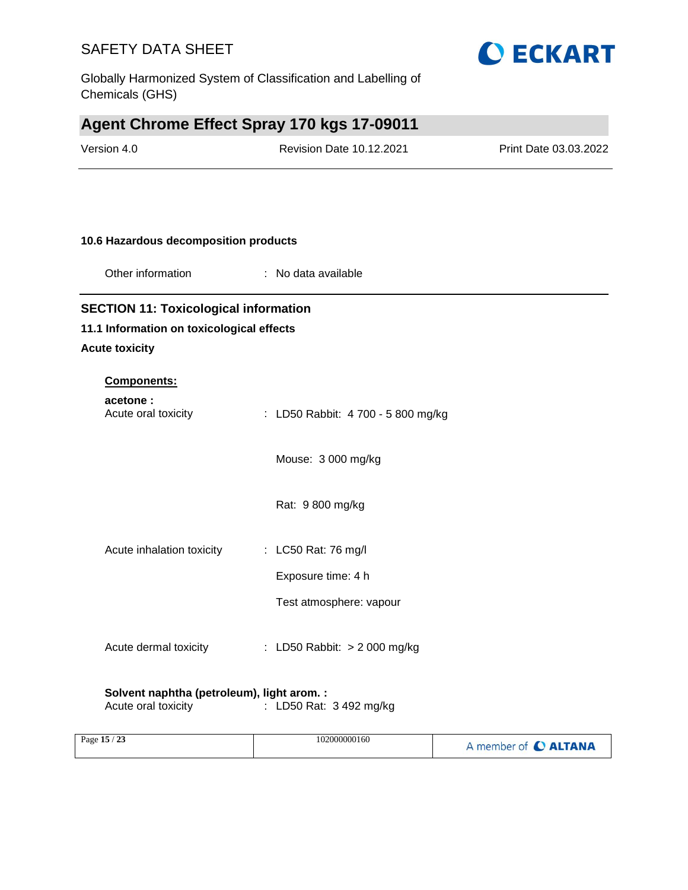Globally Harmonized System of Classification and Labelling of Chemicals (GHS)

# **Agent Chrome Effect Spray 170 kgs 17-09011**

| Version 4.0                                  | Revision Date 10.12.2021           | Print Date 03.03.2022 |
|----------------------------------------------|------------------------------------|-----------------------|
|                                              |                                    |                       |
| 10.6 Hazardous decomposition products        |                                    |                       |
| Other information                            | : No data available                |                       |
| <b>SECTION 11: Toxicological information</b> |                                    |                       |
| 11.1 Information on toxicological effects    |                                    |                       |
| <b>Acute toxicity</b>                        |                                    |                       |
| <b>Components:</b>                           |                                    |                       |
| acetone:<br>Acute oral toxicity              | : LD50 Rabbit: 4 700 - 5 800 mg/kg |                       |
|                                              | Mouse: 3 000 mg/kg                 |                       |
|                                              | Rat: 9 800 mg/kg                   |                       |
| Acute inhalation toxicity                    | : LC50 Rat: 76 mg/l                |                       |
|                                              | Exposure time: 4 h                 |                       |
|                                              | Test atmosphere: vapour            |                       |
| Acute dermal toxicity                        | : LD50 Rabbit: > 2 000 mg/kg       |                       |
|                                              |                                    |                       |

**O ECKART** 

# **Solvent naphtha (petroleum), light arom. :**<br>Acute oral toxicity : LD50 Rat:

 $\frac{M}{2}$ : LD50 Rat: 3 492 mg/kg

| Page $15/$<br>23 | 102000000160 | A member of C ALTANA |
|------------------|--------------|----------------------|
|------------------|--------------|----------------------|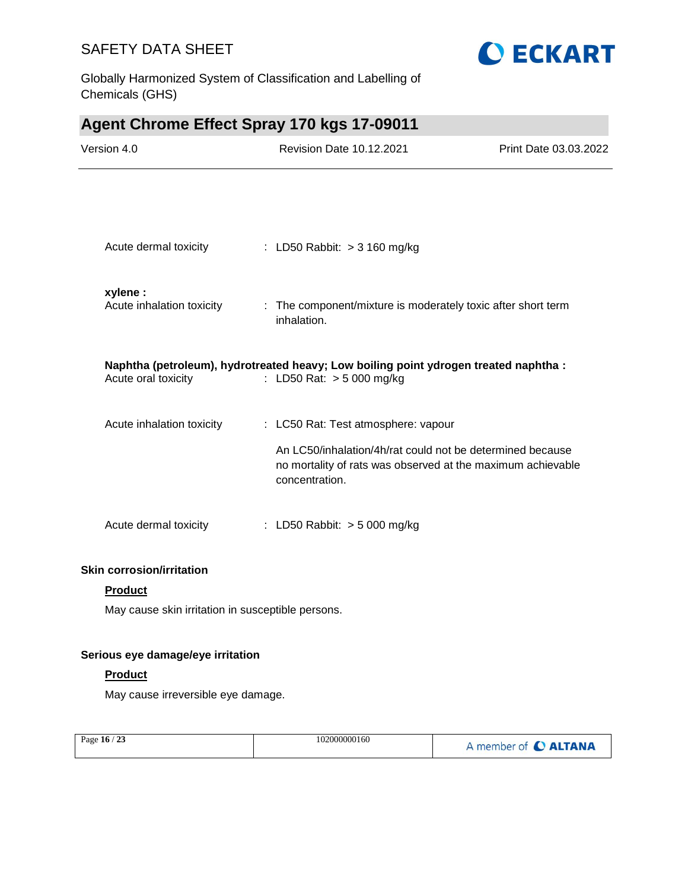Globally Harmonized System of Classification and Labelling of Chemicals (GHS)



# **Agent Chrome Effect Spray 170 kgs 17-09011**

| Version 4.0                           | <b>Revision Date 10.12.2021</b>                                                                                                                                                   | Print Date 03.03.2022 |
|---------------------------------------|-----------------------------------------------------------------------------------------------------------------------------------------------------------------------------------|-----------------------|
|                                       |                                                                                                                                                                                   |                       |
| Acute dermal toxicity                 | : LD50 Rabbit: > 3 160 mg/kg                                                                                                                                                      |                       |
| xylene :<br>Acute inhalation toxicity | : The component/mixture is moderately toxic after short term<br>inhalation.                                                                                                       |                       |
| Acute oral toxicity                   | Naphtha (petroleum), hydrotreated heavy; Low boiling point ydrogen treated naphtha :<br>: LD50 Rat: > 5 000 mg/kg                                                                 |                       |
| Acute inhalation toxicity             | : LC50 Rat: Test atmosphere: vapour<br>An LC50/inhalation/4h/rat could not be determined because<br>no mortality of rats was observed at the maximum achievable<br>concentration. |                       |
| Acute dermal toxicity                 | : LD50 Rabbit: > 5 000 mg/kg                                                                                                                                                      |                       |

#### **Skin corrosion/irritation**

#### **Product**

May cause skin irritation in susceptible persons.

#### **Serious eye damage/eye irritation**

#### **Product**

May cause irreversible eye damage.

| Page 16 / 23 | 102000000160 | A member of C ALTANA |
|--------------|--------------|----------------------|
|--------------|--------------|----------------------|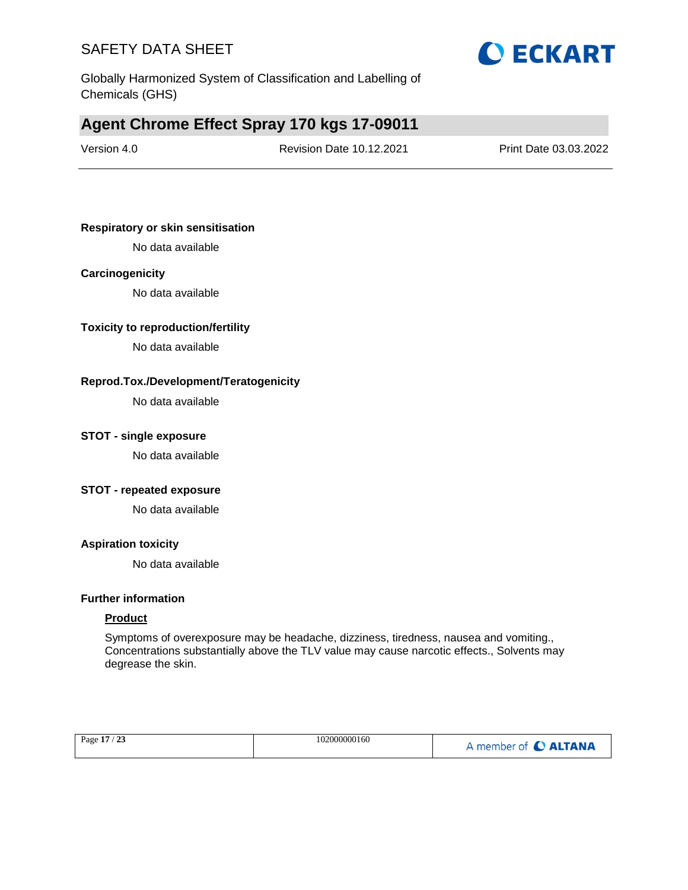

Globally Harmonized System of Classification and Labelling of Chemicals (GHS)

### **Agent Chrome Effect Spray 170 kgs 17-09011**

Version 4.0 Revision Date 10.12.2021 Print Date 03.03.2022

#### **Respiratory or skin sensitisation**

No data available

#### **Carcinogenicity**

No data available

#### **Toxicity to reproduction/fertility**

No data available

#### **Reprod.Tox./Development/Teratogenicity**

No data available

#### **STOT - single exposure**

No data available

#### **STOT - repeated exposure**

No data available

#### **Aspiration toxicity**

No data available

#### **Further information**

#### **Product**

Symptoms of overexposure may be headache, dizziness, tiredness, nausea and vomiting., Concentrations substantially above the TLV value may cause narcotic effects., Solvents may degrease the skin.

|  | Page 17 / 23 | 102000000160 | A member of C ALTANA |
|--|--------------|--------------|----------------------|
|--|--------------|--------------|----------------------|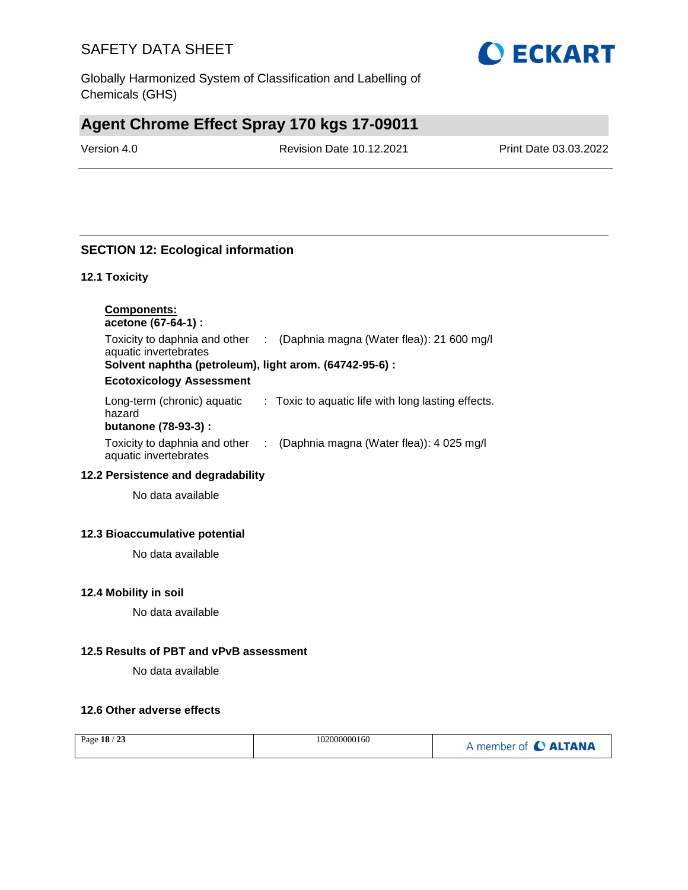Globally Harmonized System of Classification and Labelling of Chemicals (GHS)

## **Agent Chrome Effect Spray 170 kgs 17-09011**

Version 4.0 Revision Date 10.12.2021 Print Date 03.03.2022

### **SECTION 12: Ecological information**

#### **12.1 Toxicity**

| <b>Components:</b><br>acetone (67-64-1) :                     |                                                    |
|---------------------------------------------------------------|----------------------------------------------------|
| Toxicity to daphnia and other<br>aquatic invertebrates        | (Daphnia magna (Water flea)): 21 600 mg/l          |
| Solvent naphtha (petroleum), light arom. (64742-95-6) :       |                                                    |
| <b>Ecotoxicology Assessment</b>                               |                                                    |
| Long-term (chronic) aquatic<br>hazard<br>butanone (78-93-3) : | : Toxic to aquatic life with long lasting effects. |
| Toxicity to daphnia and other<br>aquatic invertebrates        | (Daphnia magna (Water flea)): 4 025 mg/l           |

#### **12.2 Persistence and degradability**

No data available

#### **12.3 Bioaccumulative potential**

No data available

#### **12.4 Mobility in soil**

No data available

#### **12.5 Results of PBT and vPvB assessment**

No data available

#### **12.6 Other adverse effects**

| Page 18 / 23 | 102000000160 | A member of C ALTANA |
|--------------|--------------|----------------------|
|--------------|--------------|----------------------|

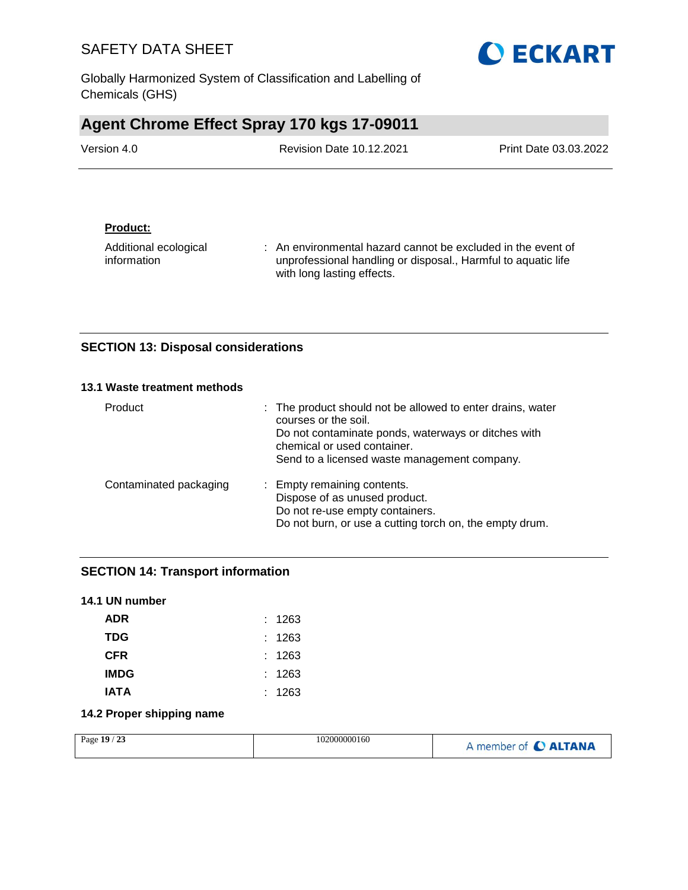Globally Harmonized System of Classification and Labelling of Chemicals (GHS)

# **Agent Chrome Effect Spray 170 kgs 17-09011**

| Version 4.0 | <b>Revision Date 10.12.2021</b> | Print Date 03.03.2022 |
|-------------|---------------------------------|-----------------------|
|             |                                 |                       |

#### **Product:**

Additional ecological information : An environmental hazard cannot be excluded in the event of unprofessional handling or disposal., Harmful to aquatic life with long lasting effects.

#### **SECTION 13: Disposal considerations**

#### **13.1 Waste treatment methods**

| Product                | : The product should not be allowed to enter drains, water<br>courses or the soil.<br>Do not contaminate ponds, waterways or ditches with<br>chemical or used container.<br>Send to a licensed waste management company. |
|------------------------|--------------------------------------------------------------------------------------------------------------------------------------------------------------------------------------------------------------------------|
| Contaminated packaging | : Empty remaining contents.<br>Dispose of as unused product.<br>Do not re-use empty containers.<br>Do not burn, or use a cutting torch on, the empty drum.                                                               |

### **SECTION 14: Transport information**

| : 1263 |
|--------|
| : 1263 |
| : 1263 |
| : 1263 |
| : 1263 |
|        |

#### **14.2 Proper shipping name**

| 23<br>102000000160<br>Page $19/$ | A member of C ALTANA |
|----------------------------------|----------------------|
|----------------------------------|----------------------|

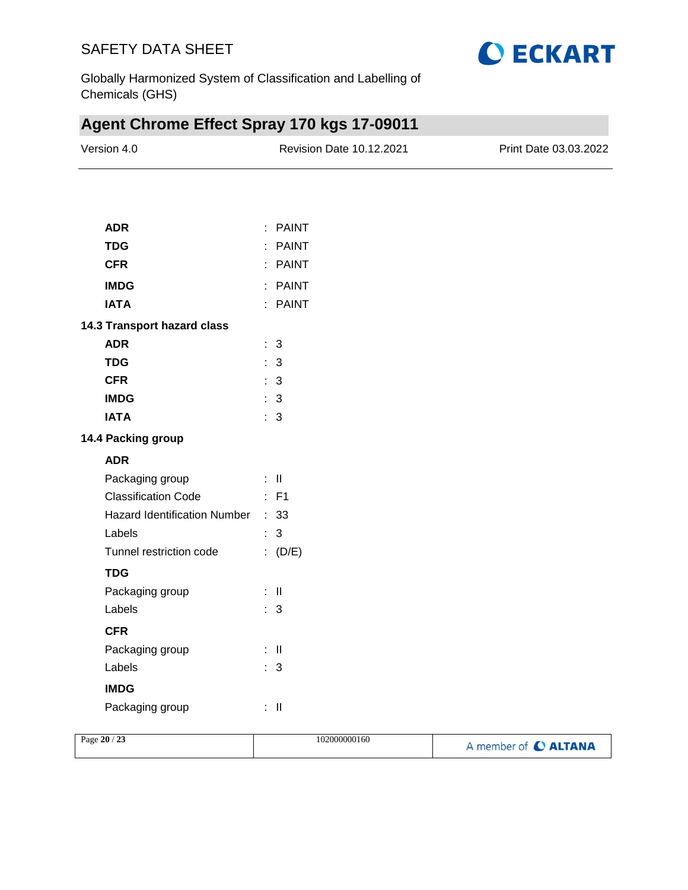

Globally Harmonized System of Classification and Labelling of Chemicals (GHS)

# **Agent Chrome Effect Spray 170 kgs 17-09011**

| Version 4.0                       | Revision Date 10.12.2021 | Print Date 03.03.2022 |
|-----------------------------------|--------------------------|-----------------------|
|                                   |                          |                       |
| <b>ADR</b>                        | : PAINT                  |                       |
| <b>TDG</b>                        | : PAINT                  |                       |
| <b>CFR</b>                        | : PAINT                  |                       |
| <b>IMDG</b>                       | : PAINT                  |                       |
| <b>IATA</b>                       | : PAINT                  |                       |
| 14.3 Transport hazard class       |                          |                       |
| <b>ADR</b>                        | : 3                      |                       |
| <b>TDG</b>                        | : 3                      |                       |
| <b>CFR</b>                        | $\therefore$ 3           |                       |
| <b>IMDG</b>                       | $\therefore$ 3           |                       |
| <b>IATA</b>                       | $\therefore$ 3           |                       |
| 14.4 Packing group                |                          |                       |
| <b>ADR</b>                        |                          |                       |
| Packaging group                   | $\div$ II                |                       |
| <b>Classification Code</b>        | $\therefore$ F1          |                       |
| Hazard Identification Number : 33 |                          |                       |
| Labels                            | $\therefore$ 3           |                       |
| Tunnel restriction code           | (D/E)                    |                       |
| <b>TDG</b>                        |                          |                       |
| Packaging group                   | $\pm$ 11                 |                       |
| Labels                            | $\therefore$ 3           |                       |
| <b>CFR</b>                        |                          |                       |
| Packaging group                   | $\pm$ 11                 |                       |
| Labels                            | $\therefore$ 3           |                       |
| <b>IMDG</b>                       |                          |                       |
| Packaging group                   | $\therefore$ $\parallel$ |                       |
|                                   |                          |                       |

| Page 20 / 23 | 102000000160 | A member of C ALTANA |
|--------------|--------------|----------------------|
|              |              |                      |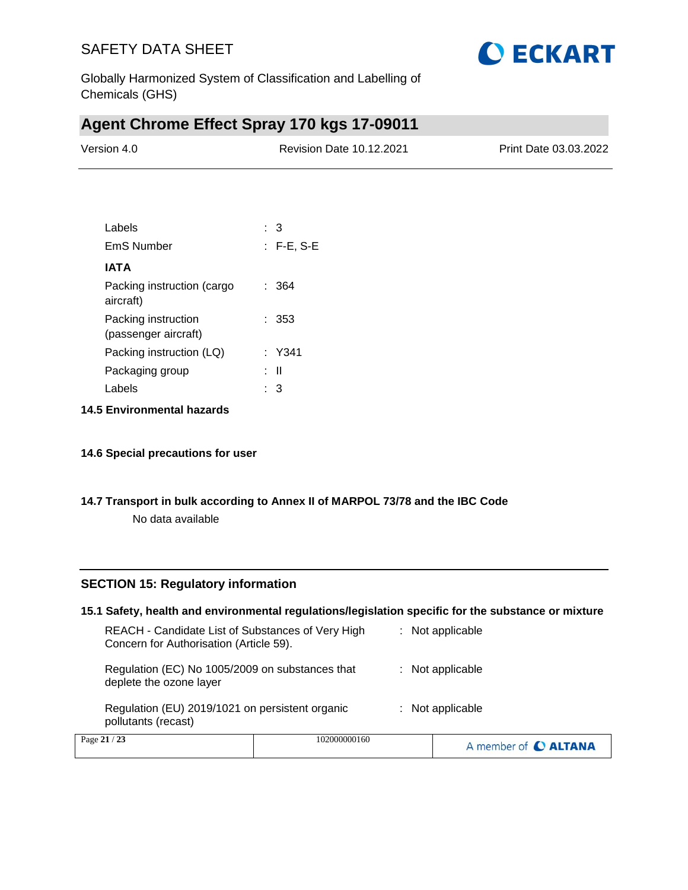

Globally Harmonized System of Classification and Labelling of Chemicals (GHS)

### **Agent Chrome Effect Spray 170 kgs 17-09011**

| Version 4.0 | <b>Revision Date 10.12.2021</b> | Print Date 03.03.2022 |
|-------------|---------------------------------|-----------------------|
|             |                                 |                       |

| Labels                                      | : 3          |
|---------------------------------------------|--------------|
| EmS Number                                  | $:$ F-E, S-E |
| IATA                                        |              |
| Packing instruction (cargo<br>aircraft)     | : 364        |
| Packing instruction<br>(passenger aircraft) | : 353        |
| Packing instruction (LQ)                    | : Y341       |
| Packaging group                             | : II         |
| Labels                                      | З            |

**14.5 Environmental hazards**

#### **14.6 Special precautions for user**

#### **14.7 Transport in bulk according to Annex II of MARPOL 73/78 and the IBC Code**

No data available

#### **SECTION 15: Regulatory information**

| 15.1 Safety, health and environmental regulations/legislation specific for the substance or mixture |              |  |                      |
|-----------------------------------------------------------------------------------------------------|--------------|--|----------------------|
| REACH - Candidate List of Substances of Very High<br>Concern for Authorisation (Article 59).        |              |  | : Not applicable     |
| Regulation (EC) No 1005/2009 on substances that<br>deplete the ozone layer                          |              |  | $:$ Not applicable   |
| Regulation (EU) 2019/1021 on persistent organic<br>pollutants (recast)                              |              |  | $:$ Not applicable   |
| Page 21 / 23                                                                                        | 102000000160 |  | A member of C ALTANA |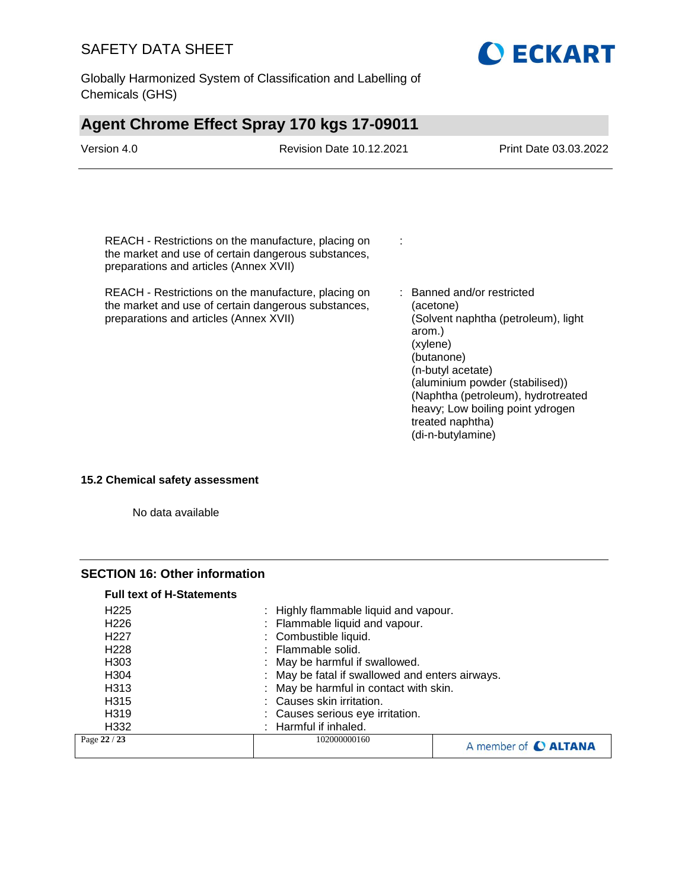Globally Harmonized System of Classification and Labelling of Chemicals (GHS)

# **Agent Chrome Effect Spray 170 kgs 17-09011**

| Version 4.0                                                                      | <b>Revision Date 10.12.2021</b>                                                                                                                                                                                          |                                                                                                                  | Print Date 03.03.2022                                                                                                                                                          |
|----------------------------------------------------------------------------------|--------------------------------------------------------------------------------------------------------------------------------------------------------------------------------------------------------------------------|------------------------------------------------------------------------------------------------------------------|--------------------------------------------------------------------------------------------------------------------------------------------------------------------------------|
| preparations and articles (Annex XVII)<br>preparations and articles (Annex XVII) | REACH - Restrictions on the manufacture, placing on<br>the market and use of certain dangerous substances,<br>REACH - Restrictions on the manufacture, placing on<br>the market and use of certain dangerous substances, | ÷<br>(acetone)<br>arom.)<br>(xylene)<br>(butanone)<br>(n-butyl acetate)<br>treated naphtha)<br>(di-n-butylamine) | : Banned and/or restricted<br>(Solvent naphtha (petroleum), light<br>(aluminium powder (stabilised))<br>(Naphtha (petroleum), hydrotreated<br>heavy; Low boiling point ydrogen |
|                                                                                  |                                                                                                                                                                                                                          |                                                                                                                  |                                                                                                                                                                                |

**O ECKART** 

**15.2 Chemical safety assessment**

No data available

#### **SECTION 16: Other information**

| : May be fatal if swallowed and enters airways.<br>: May be harmful in contact with skin.<br>: Causes skin irritation.<br>: Causes serious eye irritation.<br>: Harmful if inhaled. |  |  |
|-------------------------------------------------------------------------------------------------------------------------------------------------------------------------------------|--|--|
|                                                                                                                                                                                     |  |  |
|                                                                                                                                                                                     |  |  |
|                                                                                                                                                                                     |  |  |
|                                                                                                                                                                                     |  |  |
|                                                                                                                                                                                     |  |  |
| : May be harmful if swallowed.                                                                                                                                                      |  |  |
| : Flammable solid.                                                                                                                                                                  |  |  |
| : Combustible liquid.                                                                                                                                                               |  |  |
| : Flammable liquid and vapour.                                                                                                                                                      |  |  |
| : Highly flammable liquid and vapour.                                                                                                                                               |  |  |
|                                                                                                                                                                                     |  |  |